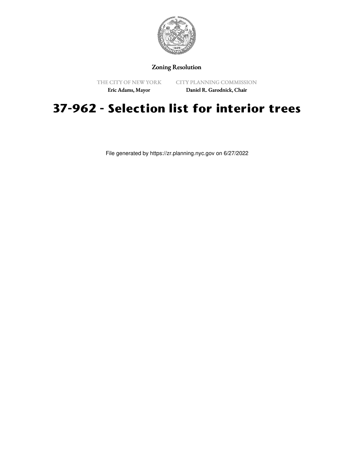

## Zoning Resolution

THE CITY OF NEW YORK

CITY PLANNING COMMISSION

Eric Adams, Mayor

Daniel R. Garodnick, Chair

## **37-962 - Selection list for interior trees**

File generated by https://zr.planning.nyc.gov on 6/27/2022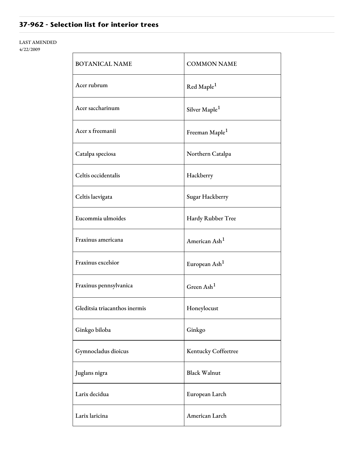## **37-962 - Selection list for interior trees**

## LAST AMENDED

4/22/2009

| <b>BOTANICAL NAME</b>         | <b>COMMON NAME</b>         |
|-------------------------------|----------------------------|
| Acer rubrum                   | Red Maple <sup>1</sup>     |
| Acer saccharinum              | Silver Maple <sup>1</sup>  |
| Acer x freemanii              | Freeman Maple <sup>1</sup> |
| Catalpa speciosa              | Northern Catalpa           |
| Celtis occidentalis           | Hackberry                  |
| Celtis laevigata              | Sugar Hackberry            |
| Eucommia ulmoides             | Hardy Rubber Tree          |
| Fraxinus americana            | American Ash <sup>1</sup>  |
| Fraxinus excelsior            | European Ash <sup>1</sup>  |
| Fraxinus pennsylvanica        | Green $\text{Ash}^1$       |
| Gleditsia triacanthos inermis | Honeylocust                |
| Ginkgo biloba                 | Ginkgo                     |
| Gymnocladus dioicus           | Kentucky Coffeetree        |
| Juglans nigra                 | <b>Black Walnut</b>        |
| Larix decidua                 | European Larch             |
| Larix laricina                | American Larch             |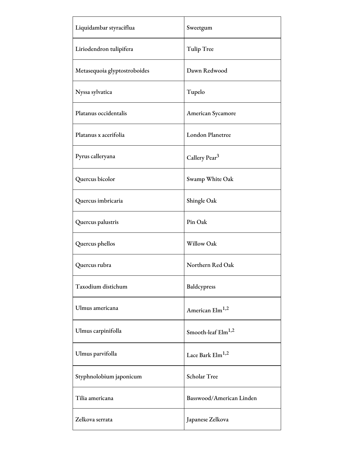| Liquidambar styraciflua      | Sweetgum                       |
|------------------------------|--------------------------------|
| Liriodendron tulipifera      | <b>Tulip Tree</b>              |
| Metasequoia glyptostroboides | Dawn Redwood                   |
| Nyssa sylvatica              | Tupelo                         |
| Platanus occidentalis        | American Sycamore              |
| Platanus x acerifolia        | <b>London Planetree</b>        |
| Pyrus calleryana             | Callery Pear <sup>3</sup>      |
| Quercus bicolor              | Swamp White Oak                |
| Quercus imbricaria           | Shingle Oak                    |
| Quercus palustris            | Pin Oak                        |
| Quercus phellos              | Willow Oak                     |
| Quercus rubra                | Northern Red Oak               |
| Taxodium distichum           | Baldcypress                    |
| Ulmus americana              | American Elm <sup>1,2</sup>    |
| Ulmus carpinifolla           | Smooth-leaf Elm <sup>1,2</sup> |
| Ulmus parvifolla             | Lace Bark Elm <sup>1,2</sup>   |
| Styphnolobium japonicum      | Scholar Tree                   |
| Tilia americana              | Basswood/American Linden       |
| Zelkova serrata              | Japanese Zelkova               |